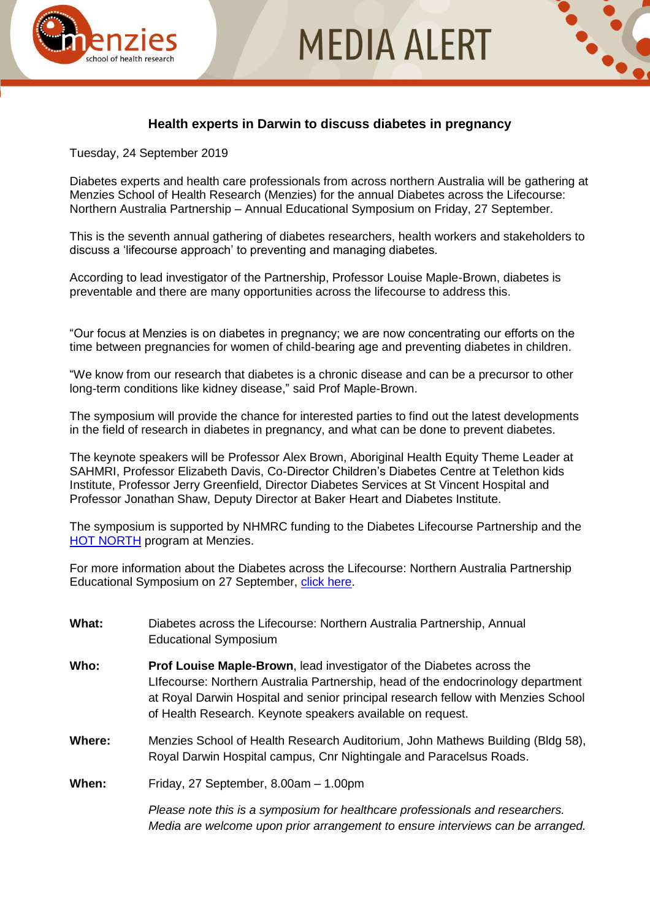



## **Health experts in Darwin to discuss diabetes in pregnancy**

Tuesday, 24 September 2019

Diabetes experts and health care professionals from across northern Australia will be gathering at Menzies School of Health Research (Menzies) for the annual Diabetes across the Lifecourse: Northern Australia Partnership – Annual Educational Symposium on Friday, 27 September.

This is the seventh annual gathering of diabetes researchers, health workers and stakeholders to discuss a 'lifecourse approach' to preventing and managing diabetes.

According to lead investigator of the Partnership, Professor Louise Maple-Brown, diabetes is preventable and there are many opportunities across the lifecourse to address this.

"Our focus at Menzies is on diabetes in pregnancy; we are now concentrating our efforts on the time between pregnancies for women of child-bearing age and preventing diabetes in children.

"We know from our research that diabetes is a chronic disease and can be a precursor to other long-term conditions like kidney disease," said Prof Maple-Brown.

The symposium will provide the chance for interested parties to find out the latest developments in the field of research in diabetes in pregnancy, and what can be done to prevent diabetes.

The keynote speakers will be Professor Alex Brown, Aboriginal Health Equity Theme Leader at SAHMRI, Professor Elizabeth Davis, Co-Director Children's Diabetes Centre at Telethon kids Institute, Professor Jerry Greenfield, Director Diabetes Services at St Vincent Hospital and Professor Jonathan Shaw, Deputy Director at Baker Heart and Diabetes Institute.

The symposium is supported by NHMRC funding to the Diabetes Lifecourse Partnership and the [HOT NORTH](https://www.menzies.edu.au/page/Research/Centres_initiatives_and_projects/HOT_NORTH/) program at Menzies.

For more information about the Diabetes across the Lifecourse: Northern Australia Partnership Educational Symposium on 27 September, [click here.](https://www.menzies.edu.au/icms_docs/309316_DIABETES_across_the_LIFECOURSE_Northern_Australia_Partnership_2019_Annual_Symposium_-_Darwin.pdf)

- **What:** Diabetes across the Lifecourse: Northern Australia Partnership, Annual Educational Symposium
- **Who: Prof Louise Maple-Brown**, lead investigator of the Diabetes across the LIfecourse: Northern Australia Partnership, head of the endocrinology department at Royal Darwin Hospital and senior principal research fellow with Menzies School of Health Research. Keynote speakers available on request.
- **Where:** Menzies School of Health Research Auditorium, John Mathews Building (Bldg 58), Royal Darwin Hospital campus, Cnr Nightingale and Paracelsus Roads.

**When:** Friday, 27 September, 8.00am – 1.00pm

*Please note this is a symposium for healthcare professionals and researchers. Media are welcome upon prior arrangement to ensure interviews can be arranged.*